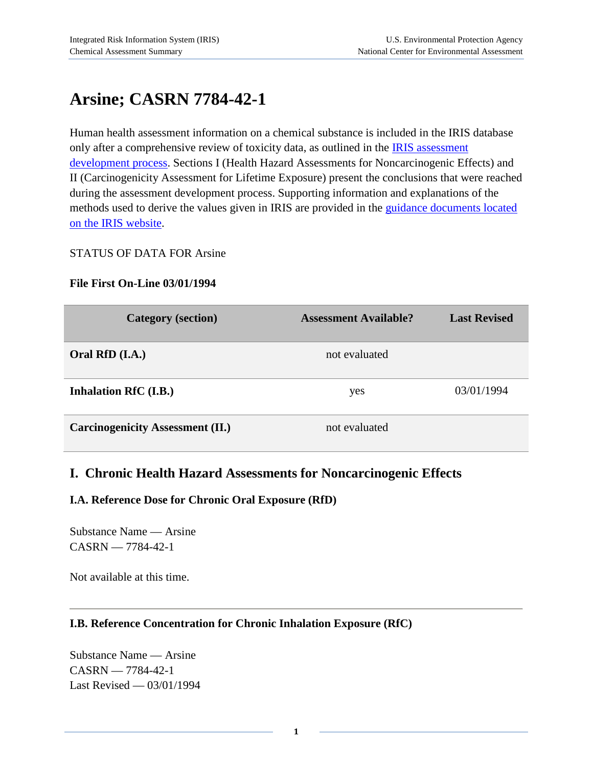# **Arsine; CASRN 7784-42-1**

Human health assessment information on a chemical substance is included in the IRIS database only after a comprehensive review of toxicity data, as outlined in the **IRIS** assessment [development process.](http://www.epa.gov/iris/process.htm) Sections I (Health Hazard Assessments for Noncarcinogenic Effects) and II (Carcinogenicity Assessment for Lifetime Exposure) present the conclusions that were reached during the assessment development process. Supporting information and explanations of the methods used to derive the values given in IRIS are provided in the [guidance documents located](http://www.epa.gov/iris/backgrd.html)  [on the IRIS website.](http://www.epa.gov/iris/backgrd.html)

#### STATUS OF DATA FOR Arsine

#### **File First On-Line 03/01/1994**

| <b>Category</b> (section)               | <b>Assessment Available?</b> | <b>Last Revised</b> |
|-----------------------------------------|------------------------------|---------------------|
| Oral RfD (I.A.)                         | not evaluated                |                     |
| Inhalation RfC (I.B.)                   | yes                          | 03/01/1994          |
| <b>Carcinogenicity Assessment (II.)</b> | not evaluated                |                     |

# **I. Chronic Health Hazard Assessments for Noncarcinogenic Effects**

#### **I.A. Reference Dose for Chronic Oral Exposure (RfD)**

Substance Name — Arsine CASRN — 7784-42-1

Not available at this time.

#### **I.B. Reference Concentration for Chronic Inhalation Exposure (RfC)**

Substance Name — Arsine CASRN — 7784-42-1 Last Revised — 03/01/1994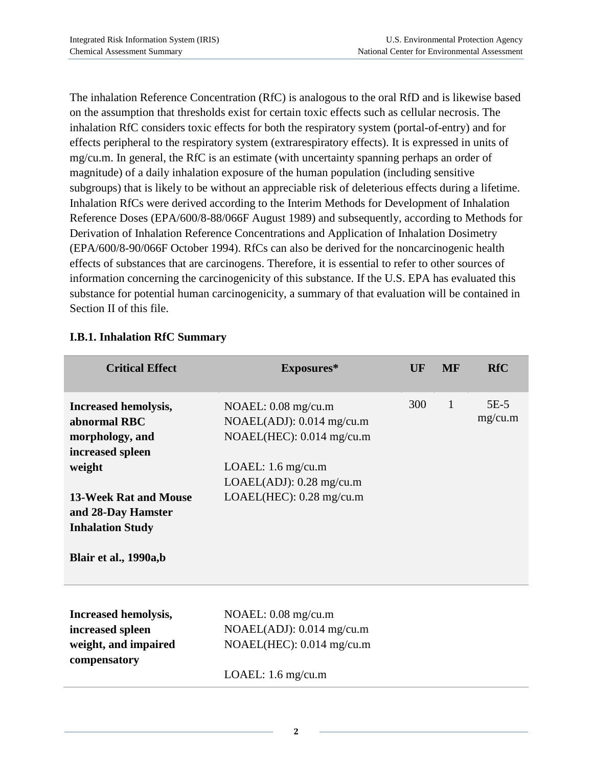The inhalation Reference Concentration (RfC) is analogous to the oral RfD and is likewise based on the assumption that thresholds exist for certain toxic effects such as cellular necrosis. The inhalation RfC considers toxic effects for both the respiratory system (portal-of-entry) and for effects peripheral to the respiratory system (extrarespiratory effects). It is expressed in units of mg/cu.m. In general, the RfC is an estimate (with uncertainty spanning perhaps an order of magnitude) of a daily inhalation exposure of the human population (including sensitive subgroups) that is likely to be without an appreciable risk of deleterious effects during a lifetime. Inhalation RfCs were derived according to the Interim Methods for Development of Inhalation Reference Doses (EPA/600/8-88/066F August 1989) and subsequently, according to Methods for Derivation of Inhalation Reference Concentrations and Application of Inhalation Dosimetry (EPA/600/8-90/066F October 1994). RfCs can also be derived for the noncarcinogenic health effects of substances that are carcinogens. Therefore, it is essential to refer to other sources of information concerning the carcinogenicity of this substance. If the U.S. EPA has evaluated this substance for potential human carcinogenicity, a summary of that evaluation will be contained in Section II of this file.

| <b>Critical Effect</b>       | Exposures*                   | UF  | MF           | <b>RfC</b> |
|------------------------------|------------------------------|-----|--------------|------------|
|                              |                              |     |              |            |
| <b>Increased hemolysis,</b>  | NOAEL: 0.08 mg/cu.m          | 300 | $\mathbf{1}$ | $5E-5$     |
| abnormal RBC                 | NOAEL(ADJ): 0.014 mg/cu.m    |     |              | mg/cu.m    |
| morphology, and              | NOAEL(HEC): 0.014 mg/cu.m    |     |              |            |
| increased spleen             |                              |     |              |            |
| weight                       | LOAEL: $1.6 \text{ mg/cu.m}$ |     |              |            |
|                              | LOAEL(ADI): 0.28 mg/cu.m     |     |              |            |
| <b>13-Week Rat and Mouse</b> | $LOAEL(HEC): 0.28$ mg/cu.m   |     |              |            |
| and 28-Day Hamster           |                              |     |              |            |
| <b>Inhalation Study</b>      |                              |     |              |            |
|                              |                              |     |              |            |
| Blair et al., 1990a,b        |                              |     |              |            |
|                              |                              |     |              |            |
|                              |                              |     |              |            |
| <b>Increased hemolysis,</b>  | NOAEL: 0.08 mg/cu.m          |     |              |            |
| increased spleen             | NOAEL(ADJ): 0.014 mg/cu.m    |     |              |            |
| weight, and impaired         | NOAEL(HEC): 0.014 mg/cu.m    |     |              |            |
| compensatory                 |                              |     |              |            |
|                              | LOAEL: $1.6 \text{ mg/cu.m}$ |     |              |            |

## **I.B.1. Inhalation RfC Summary**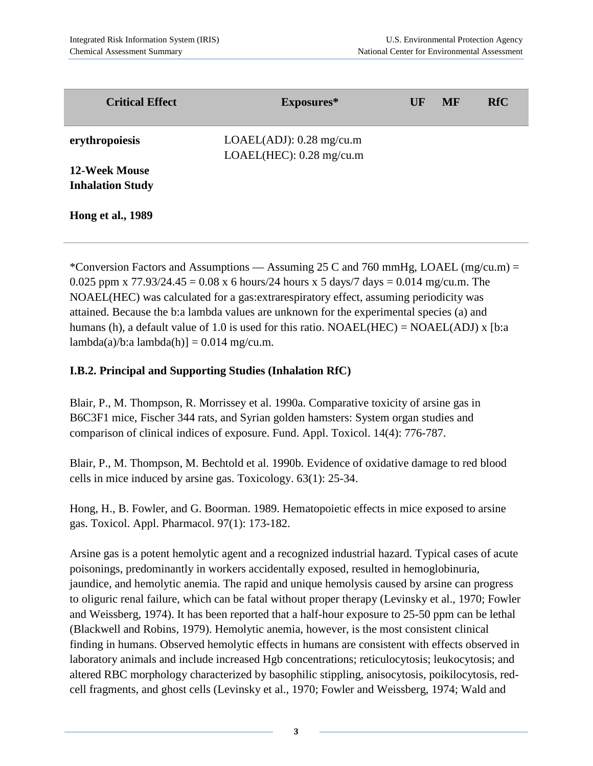| <b>Critical Effect</b>                          | Exposures*                                               | UF | <b>MF</b> | <b>RfC</b> |
|-------------------------------------------------|----------------------------------------------------------|----|-----------|------------|
| erythropoiesis                                  | $LOAEL(ADJ): 0.28$ mg/cu.m<br>$LOAEL(HEC): 0.28$ mg/cu.m |    |           |            |
| <b>12-Week Mouse</b><br><b>Inhalation Study</b> |                                                          |    |           |            |
| <b>Hong et al., 1989</b>                        |                                                          |    |           |            |

\*Conversion Factors and Assumptions — Assuming 25 C and 760 mmHg, LOAEL (mg/cu.m) = 0.025 ppm x 77.93/24.45 = 0.08 x 6 hours/24 hours x 5 days/7 days = 0.014 mg/cu.m. The NOAEL(HEC) was calculated for a gas:extrarespiratory effect, assuming periodicity was attained. Because the b:a lambda values are unknown for the experimental species (a) and humans (h), a default value of 1.0 is used for this ratio. NOAEL(HEC) = NOAEL(ADJ) x [b:a  $lambda(a)/b$ :a  $lambda(h)$ ] = 0.014 mg/cu.m.

#### **I.B.2. Principal and Supporting Studies (Inhalation RfC)**

Blair, P., M. Thompson, R. Morrissey et al. 1990a. Comparative toxicity of arsine gas in B6C3F1 mice, Fischer 344 rats, and Syrian golden hamsters: System organ studies and comparison of clinical indices of exposure. Fund. Appl. Toxicol. 14(4): 776-787.

Blair, P., M. Thompson, M. Bechtold et al. 1990b. Evidence of oxidative damage to red blood cells in mice induced by arsine gas. Toxicology. 63(1): 25-34.

Hong, H., B. Fowler, and G. Boorman. 1989. Hematopoietic effects in mice exposed to arsine gas. Toxicol. Appl. Pharmacol. 97(1): 173-182.

Arsine gas is a potent hemolytic agent and a recognized industrial hazard. Typical cases of acute poisonings, predominantly in workers accidentally exposed, resulted in hemoglobinuria, jaundice, and hemolytic anemia. The rapid and unique hemolysis caused by arsine can progress to oliguric renal failure, which can be fatal without proper therapy (Levinsky et al., 1970; Fowler and Weissberg, 1974). It has been reported that a half-hour exposure to 25-50 ppm can be lethal (Blackwell and Robins, 1979). Hemolytic anemia, however, is the most consistent clinical finding in humans. Observed hemolytic effects in humans are consistent with effects observed in laboratory animals and include increased Hgb concentrations; reticulocytosis; leukocytosis; and altered RBC morphology characterized by basophilic stippling, anisocytosis, poikilocytosis, redcell fragments, and ghost cells (Levinsky et al., 1970; Fowler and Weissberg, 1974; Wald and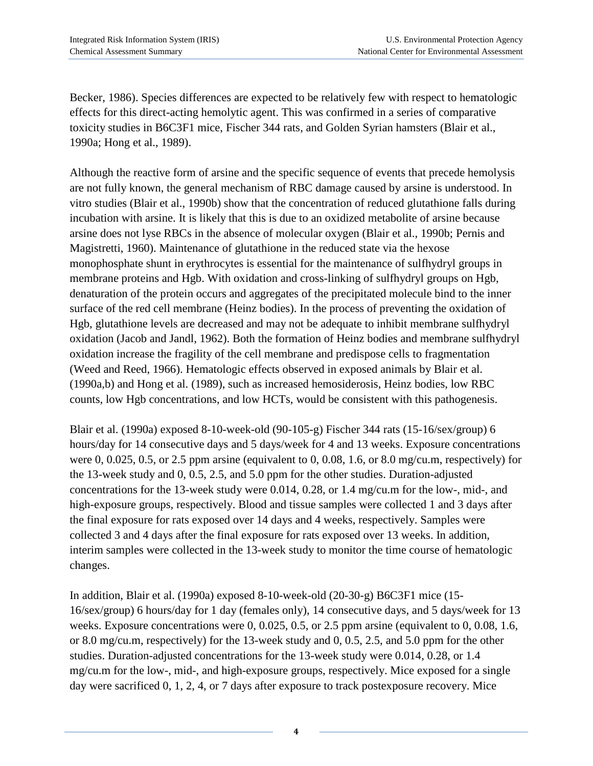Becker, 1986). Species differences are expected to be relatively few with respect to hematologic effects for this direct-acting hemolytic agent. This was confirmed in a series of comparative toxicity studies in B6C3F1 mice, Fischer 344 rats, and Golden Syrian hamsters (Blair et al., 1990a; Hong et al., 1989).

Although the reactive form of arsine and the specific sequence of events that precede hemolysis are not fully known, the general mechanism of RBC damage caused by arsine is understood. In vitro studies (Blair et al., 1990b) show that the concentration of reduced glutathione falls during incubation with arsine. It is likely that this is due to an oxidized metabolite of arsine because arsine does not lyse RBCs in the absence of molecular oxygen (Blair et al., 1990b; Pernis and Magistretti, 1960). Maintenance of glutathione in the reduced state via the hexose monophosphate shunt in erythrocytes is essential for the maintenance of sulfhydryl groups in membrane proteins and Hgb. With oxidation and cross-linking of sulfhydryl groups on Hgb, denaturation of the protein occurs and aggregates of the precipitated molecule bind to the inner surface of the red cell membrane (Heinz bodies). In the process of preventing the oxidation of Hgb, glutathione levels are decreased and may not be adequate to inhibit membrane sulfhydryl oxidation (Jacob and Jandl, 1962). Both the formation of Heinz bodies and membrane sulfhydryl oxidation increase the fragility of the cell membrane and predispose cells to fragmentation (Weed and Reed, 1966). Hematologic effects observed in exposed animals by Blair et al. (1990a,b) and Hong et al. (1989), such as increased hemosiderosis, Heinz bodies, low RBC counts, low Hgb concentrations, and low HCTs, would be consistent with this pathogenesis.

Blair et al. (1990a) exposed 8-10-week-old (90-105-g) Fischer 344 rats (15-16/sex/group) 6 hours/day for 14 consecutive days and 5 days/week for 4 and 13 weeks. Exposure concentrations were 0, 0.025, 0.5, or 2.5 ppm arsine (equivalent to 0, 0.08, 1.6, or 8.0 mg/cu.m, respectively) for the 13-week study and 0, 0.5, 2.5, and 5.0 ppm for the other studies. Duration-adjusted concentrations for the 13-week study were 0.014, 0.28, or 1.4 mg/cu.m for the low-, mid-, and high-exposure groups, respectively. Blood and tissue samples were collected 1 and 3 days after the final exposure for rats exposed over 14 days and 4 weeks, respectively. Samples were collected 3 and 4 days after the final exposure for rats exposed over 13 weeks. In addition, interim samples were collected in the 13-week study to monitor the time course of hematologic changes.

In addition, Blair et al. (1990a) exposed 8-10-week-old (20-30-g) B6C3F1 mice (15- 16/sex/group) 6 hours/day for 1 day (females only), 14 consecutive days, and 5 days/week for 13 weeks. Exposure concentrations were 0, 0.025, 0.5, or 2.5 ppm arsine (equivalent to 0, 0.08, 1.6, or 8.0 mg/cu.m, respectively) for the 13-week study and 0, 0.5, 2.5, and 5.0 ppm for the other studies. Duration-adjusted concentrations for the 13-week study were 0.014, 0.28, or 1.4 mg/cu.m for the low-, mid-, and high-exposure groups, respectively. Mice exposed for a single day were sacrificed 0, 1, 2, 4, or 7 days after exposure to track postexposure recovery. Mice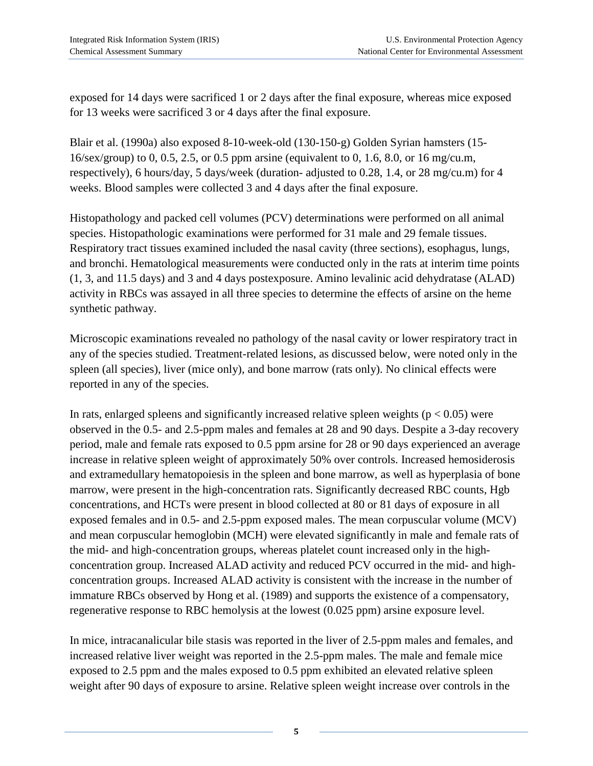exposed for 14 days were sacrificed 1 or 2 days after the final exposure, whereas mice exposed for 13 weeks were sacrificed 3 or 4 days after the final exposure.

Blair et al. (1990a) also exposed 8-10-week-old (130-150-g) Golden Syrian hamsters (15- 16/sex/group) to 0, 0.5, 2.5, or 0.5 ppm arsine (equivalent to 0, 1.6, 8.0, or 16 mg/cu.m, respectively), 6 hours/day, 5 days/week (duration- adjusted to 0.28, 1.4, or 28 mg/cu.m) for 4 weeks. Blood samples were collected 3 and 4 days after the final exposure.

Histopathology and packed cell volumes (PCV) determinations were performed on all animal species. Histopathologic examinations were performed for 31 male and 29 female tissues. Respiratory tract tissues examined included the nasal cavity (three sections), esophagus, lungs, and bronchi. Hematological measurements were conducted only in the rats at interim time points (1, 3, and 11.5 days) and 3 and 4 days postexposure. Amino levalinic acid dehydratase (ALAD) activity in RBCs was assayed in all three species to determine the effects of arsine on the heme synthetic pathway.

Microscopic examinations revealed no pathology of the nasal cavity or lower respiratory tract in any of the species studied. Treatment-related lesions, as discussed below, were noted only in the spleen (all species), liver (mice only), and bone marrow (rats only). No clinical effects were reported in any of the species.

In rats, enlarged spleens and significantly increased relative spleen weights ( $p < 0.05$ ) were observed in the 0.5- and 2.5-ppm males and females at 28 and 90 days. Despite a 3-day recovery period, male and female rats exposed to 0.5 ppm arsine for 28 or 90 days experienced an average increase in relative spleen weight of approximately 50% over controls. Increased hemosiderosis and extramedullary hematopoiesis in the spleen and bone marrow, as well as hyperplasia of bone marrow, were present in the high-concentration rats. Significantly decreased RBC counts, Hgb concentrations, and HCTs were present in blood collected at 80 or 81 days of exposure in all exposed females and in 0.5- and 2.5-ppm exposed males. The mean corpuscular volume (MCV) and mean corpuscular hemoglobin (MCH) were elevated significantly in male and female rats of the mid- and high-concentration groups, whereas platelet count increased only in the highconcentration group. Increased ALAD activity and reduced PCV occurred in the mid- and highconcentration groups. Increased ALAD activity is consistent with the increase in the number of immature RBCs observed by Hong et al. (1989) and supports the existence of a compensatory, regenerative response to RBC hemolysis at the lowest (0.025 ppm) arsine exposure level.

In mice, intracanalicular bile stasis was reported in the liver of 2.5-ppm males and females, and increased relative liver weight was reported in the 2.5-ppm males. The male and female mice exposed to 2.5 ppm and the males exposed to 0.5 ppm exhibited an elevated relative spleen weight after 90 days of exposure to arsine. Relative spleen weight increase over controls in the

**5**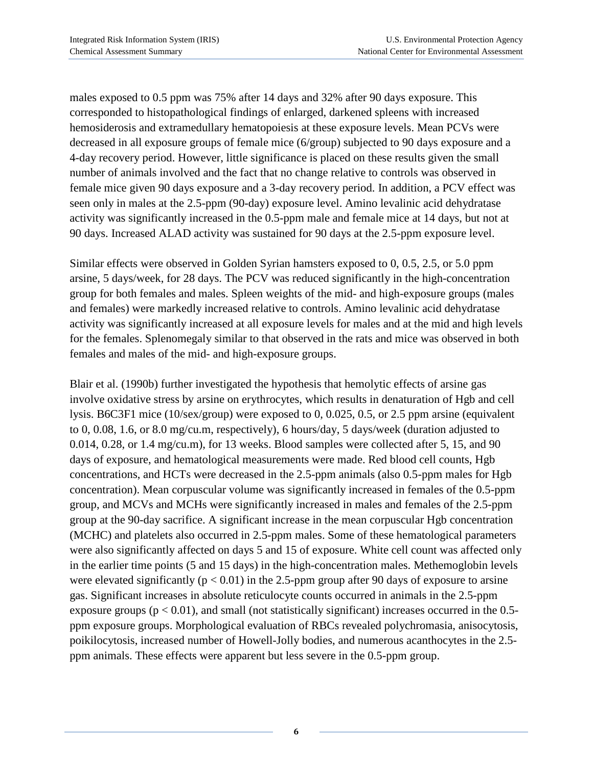males exposed to 0.5 ppm was 75% after 14 days and 32% after 90 days exposure. This corresponded to histopathological findings of enlarged, darkened spleens with increased hemosiderosis and extramedullary hematopoiesis at these exposure levels. Mean PCVs were decreased in all exposure groups of female mice (6/group) subjected to 90 days exposure and a 4-day recovery period. However, little significance is placed on these results given the small number of animals involved and the fact that no change relative to controls was observed in female mice given 90 days exposure and a 3-day recovery period. In addition, a PCV effect was seen only in males at the 2.5-ppm (90-day) exposure level. Amino levalinic acid dehydratase activity was significantly increased in the 0.5-ppm male and female mice at 14 days, but not at 90 days. Increased ALAD activity was sustained for 90 days at the 2.5-ppm exposure level.

Similar effects were observed in Golden Syrian hamsters exposed to 0, 0.5, 2.5, or 5.0 ppm arsine, 5 days/week, for 28 days. The PCV was reduced significantly in the high-concentration group for both females and males. Spleen weights of the mid- and high-exposure groups (males and females) were markedly increased relative to controls. Amino levalinic acid dehydratase activity was significantly increased at all exposure levels for males and at the mid and high levels for the females. Splenomegaly similar to that observed in the rats and mice was observed in both females and males of the mid- and high-exposure groups.

Blair et al. (1990b) further investigated the hypothesis that hemolytic effects of arsine gas involve oxidative stress by arsine on erythrocytes, which results in denaturation of Hgb and cell lysis. B6C3F1 mice (10/sex/group) were exposed to 0, 0.025, 0.5, or 2.5 ppm arsine (equivalent to 0, 0.08, 1.6, or 8.0 mg/cu.m, respectively), 6 hours/day, 5 days/week (duration adjusted to 0.014, 0.28, or 1.4 mg/cu.m), for 13 weeks. Blood samples were collected after 5, 15, and 90 days of exposure, and hematological measurements were made. Red blood cell counts, Hgb concentrations, and HCTs were decreased in the 2.5-ppm animals (also 0.5-ppm males for Hgb concentration). Mean corpuscular volume was significantly increased in females of the 0.5-ppm group, and MCVs and MCHs were significantly increased in males and females of the 2.5-ppm group at the 90-day sacrifice. A significant increase in the mean corpuscular Hgb concentration (MCHC) and platelets also occurred in 2.5-ppm males. Some of these hematological parameters were also significantly affected on days 5 and 15 of exposure. White cell count was affected only in the earlier time points (5 and 15 days) in the high-concentration males. Methemoglobin levels were elevated significantly ( $p < 0.01$ ) in the 2.5-ppm group after 90 days of exposure to arsine gas. Significant increases in absolute reticulocyte counts occurred in animals in the 2.5-ppm exposure groups  $(p < 0.01)$ , and small (not statistically significant) increases occurred in the 0.5ppm exposure groups. Morphological evaluation of RBCs revealed polychromasia, anisocytosis, poikilocytosis, increased number of Howell-Jolly bodies, and numerous acanthocytes in the 2.5 ppm animals. These effects were apparent but less severe in the 0.5-ppm group.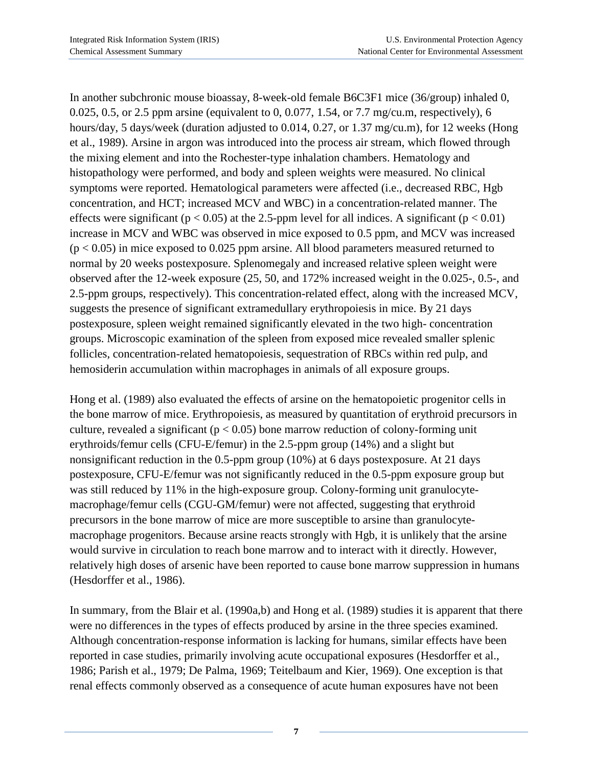In another subchronic mouse bioassay, 8-week-old female B6C3F1 mice (36/group) inhaled 0, 0.025, 0.5, or 2.5 ppm arsine (equivalent to 0, 0.077, 1.54, or 7.7 mg/cu.m, respectively), 6 hours/day, 5 days/week (duration adjusted to 0.014, 0.27, or 1.37 mg/cu.m), for 12 weeks (Hong et al., 1989). Arsine in argon was introduced into the process air stream, which flowed through the mixing element and into the Rochester-type inhalation chambers. Hematology and histopathology were performed, and body and spleen weights were measured. No clinical symptoms were reported. Hematological parameters were affected (i.e., decreased RBC, Hgb concentration, and HCT; increased MCV and WBC) in a concentration-related manner. The effects were significant ( $p < 0.05$ ) at the 2.5-ppm level for all indices. A significant ( $p < 0.01$ ) increase in MCV and WBC was observed in mice exposed to 0.5 ppm, and MCV was increased  $(p < 0.05)$  in mice exposed to 0.025 ppm arsine. All blood parameters measured returned to normal by 20 weeks postexposure. Splenomegaly and increased relative spleen weight were observed after the 12-week exposure (25, 50, and 172% increased weight in the 0.025-, 0.5-, and 2.5-ppm groups, respectively). This concentration-related effect, along with the increased MCV, suggests the presence of significant extramedullary erythropoiesis in mice. By 21 days postexposure, spleen weight remained significantly elevated in the two high- concentration groups. Microscopic examination of the spleen from exposed mice revealed smaller splenic follicles, concentration-related hematopoiesis, sequestration of RBCs within red pulp, and hemosiderin accumulation within macrophages in animals of all exposure groups.

Hong et al. (1989) also evaluated the effects of arsine on the hematopoietic progenitor cells in the bone marrow of mice. Erythropoiesis, as measured by quantitation of erythroid precursors in culture, revealed a significant ( $p < 0.05$ ) bone marrow reduction of colony-forming unit erythroids/femur cells (CFU-E/femur) in the 2.5-ppm group (14%) and a slight but nonsignificant reduction in the 0.5-ppm group (10%) at 6 days postexposure. At 21 days postexposure, CFU-E/femur was not significantly reduced in the 0.5-ppm exposure group but was still reduced by 11% in the high-exposure group. Colony-forming unit granulocytemacrophage/femur cells (CGU-GM/femur) were not affected, suggesting that erythroid precursors in the bone marrow of mice are more susceptible to arsine than granulocytemacrophage progenitors. Because arsine reacts strongly with Hgb, it is unlikely that the arsine would survive in circulation to reach bone marrow and to interact with it directly. However, relatively high doses of arsenic have been reported to cause bone marrow suppression in humans (Hesdorffer et al., 1986).

In summary, from the Blair et al. (1990a,b) and Hong et al. (1989) studies it is apparent that there were no differences in the types of effects produced by arsine in the three species examined. Although concentration-response information is lacking for humans, similar effects have been reported in case studies, primarily involving acute occupational exposures (Hesdorffer et al., 1986; Parish et al., 1979; De Palma, 1969; Teitelbaum and Kier, 1969). One exception is that renal effects commonly observed as a consequence of acute human exposures have not been

**7**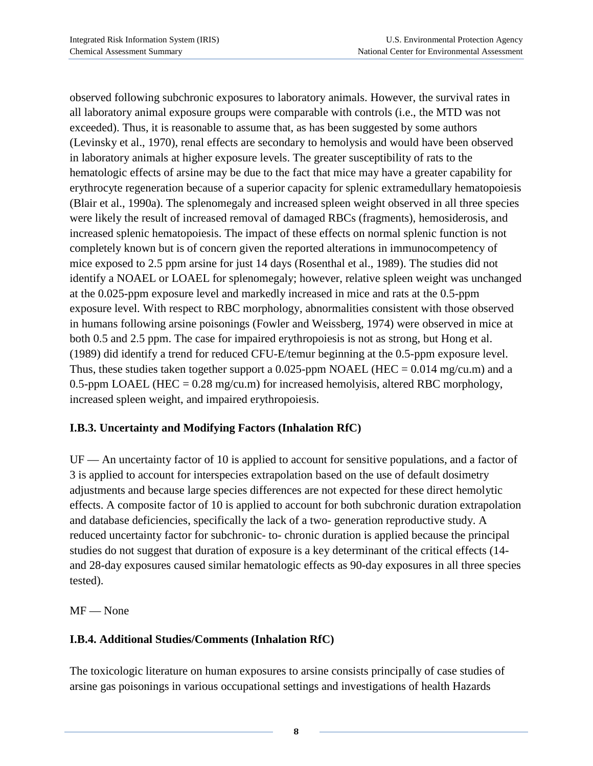observed following subchronic exposures to laboratory animals. However, the survival rates in all laboratory animal exposure groups were comparable with controls (i.e., the MTD was not exceeded). Thus, it is reasonable to assume that, as has been suggested by some authors (Levinsky et al., 1970), renal effects are secondary to hemolysis and would have been observed in laboratory animals at higher exposure levels. The greater susceptibility of rats to the hematologic effects of arsine may be due to the fact that mice may have a greater capability for erythrocyte regeneration because of a superior capacity for splenic extramedullary hematopoiesis (Blair et al., 1990a). The splenomegaly and increased spleen weight observed in all three species were likely the result of increased removal of damaged RBCs (fragments), hemosiderosis, and increased splenic hematopoiesis. The impact of these effects on normal splenic function is not completely known but is of concern given the reported alterations in immunocompetency of mice exposed to 2.5 ppm arsine for just 14 days (Rosenthal et al., 1989). The studies did not identify a NOAEL or LOAEL for splenomegaly; however, relative spleen weight was unchanged at the 0.025-ppm exposure level and markedly increased in mice and rats at the 0.5-ppm exposure level. With respect to RBC morphology, abnormalities consistent with those observed in humans following arsine poisonings (Fowler and Weissberg, 1974) were observed in mice at both 0.5 and 2.5 ppm. The case for impaired erythropoiesis is not as strong, but Hong et al. (1989) did identify a trend for reduced CFU-E/temur beginning at the 0.5-ppm exposure level. Thus, these studies taken together support a 0.025-ppm NOAEL (HEC =  $0.014$  mg/cu.m) and a 0.5-ppm LOAEL (HEC =  $0.28$  mg/cu.m) for increased hemolyisis, altered RBC morphology, increased spleen weight, and impaired erythropoiesis.

# **I.B.3. Uncertainty and Modifying Factors (Inhalation RfC)**

UF — An uncertainty factor of 10 is applied to account for sensitive populations, and a factor of 3 is applied to account for interspecies extrapolation based on the use of default dosimetry adjustments and because large species differences are not expected for these direct hemolytic effects. A composite factor of 10 is applied to account for both subchronic duration extrapolation and database deficiencies, specifically the lack of a two- generation reproductive study. A reduced uncertainty factor for subchronic- to- chronic duration is applied because the principal studies do not suggest that duration of exposure is a key determinant of the critical effects (14 and 28-day exposures caused similar hematologic effects as 90-day exposures in all three species tested).

MF — None

# **I.B.4. Additional Studies/Comments (Inhalation RfC)**

The toxicologic literature on human exposures to arsine consists principally of case studies of arsine gas poisonings in various occupational settings and investigations of health Hazards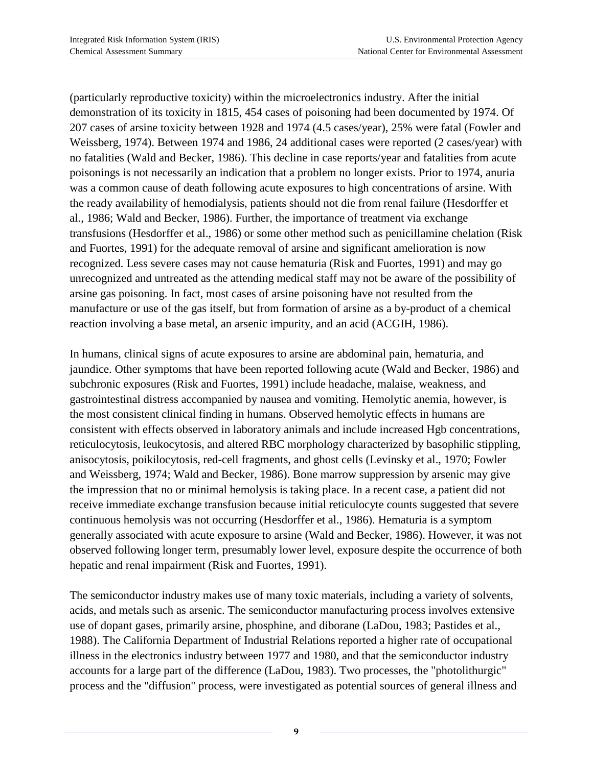(particularly reproductive toxicity) within the microelectronics industry. After the initial demonstration of its toxicity in 1815, 454 cases of poisoning had been documented by 1974. Of 207 cases of arsine toxicity between 1928 and 1974 (4.5 cases/year), 25% were fatal (Fowler and Weissberg, 1974). Between 1974 and 1986, 24 additional cases were reported (2 cases/year) with no fatalities (Wald and Becker, 1986). This decline in case reports/year and fatalities from acute poisonings is not necessarily an indication that a problem no longer exists. Prior to 1974, anuria was a common cause of death following acute exposures to high concentrations of arsine. With the ready availability of hemodialysis, patients should not die from renal failure (Hesdorffer et al., 1986; Wald and Becker, 1986). Further, the importance of treatment via exchange transfusions (Hesdorffer et al., 1986) or some other method such as penicillamine chelation (Risk and Fuortes, 1991) for the adequate removal of arsine and significant amelioration is now recognized. Less severe cases may not cause hematuria (Risk and Fuortes, 1991) and may go unrecognized and untreated as the attending medical staff may not be aware of the possibility of arsine gas poisoning. In fact, most cases of arsine poisoning have not resulted from the manufacture or use of the gas itself, but from formation of arsine as a by-product of a chemical reaction involving a base metal, an arsenic impurity, and an acid (ACGIH, 1986).

In humans, clinical signs of acute exposures to arsine are abdominal pain, hematuria, and jaundice. Other symptoms that have been reported following acute (Wald and Becker, 1986) and subchronic exposures (Risk and Fuortes, 1991) include headache, malaise, weakness, and gastrointestinal distress accompanied by nausea and vomiting. Hemolytic anemia, however, is the most consistent clinical finding in humans. Observed hemolytic effects in humans are consistent with effects observed in laboratory animals and include increased Hgb concentrations, reticulocytosis, leukocytosis, and altered RBC morphology characterized by basophilic stippling, anisocytosis, poikilocytosis, red-cell fragments, and ghost cells (Levinsky et al., 1970; Fowler and Weissberg, 1974; Wald and Becker, 1986). Bone marrow suppression by arsenic may give the impression that no or minimal hemolysis is taking place. In a recent case, a patient did not receive immediate exchange transfusion because initial reticulocyte counts suggested that severe continuous hemolysis was not occurring (Hesdorffer et al., 1986). Hematuria is a symptom generally associated with acute exposure to arsine (Wald and Becker, 1986). However, it was not observed following longer term, presumably lower level, exposure despite the occurrence of both hepatic and renal impairment (Risk and Fuortes, 1991).

The semiconductor industry makes use of many toxic materials, including a variety of solvents, acids, and metals such as arsenic. The semiconductor manufacturing process involves extensive use of dopant gases, primarily arsine, phosphine, and diborane (LaDou, 1983; Pastides et al., 1988). The California Department of Industrial Relations reported a higher rate of occupational illness in the electronics industry between 1977 and 1980, and that the semiconductor industry accounts for a large part of the difference (LaDou, 1983). Two processes, the "photolithurgic" process and the "diffusion" process, were investigated as potential sources of general illness and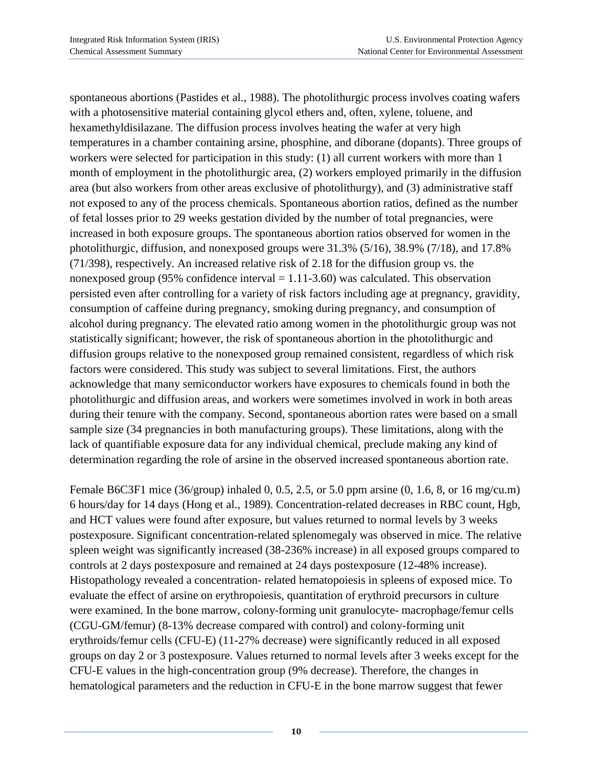spontaneous abortions (Pastides et al., 1988). The photolithurgic process involves coating wafers with a photosensitive material containing glycol ethers and, often, xylene, toluene, and hexamethyldisilazane. The diffusion process involves heating the wafer at very high temperatures in a chamber containing arsine, phosphine, and diborane (dopants). Three groups of workers were selected for participation in this study: (1) all current workers with more than 1 month of employment in the photolithurgic area, (2) workers employed primarily in the diffusion area (but also workers from other areas exclusive of photolithurgy), and (3) administrative staff not exposed to any of the process chemicals. Spontaneous abortion ratios, defined as the number of fetal losses prior to 29 weeks gestation divided by the number of total pregnancies, were increased in both exposure groups. The spontaneous abortion ratios observed for women in the photolithurgic, diffusion, and nonexposed groups were 31.3% (5/16), 38.9% (7/18), and 17.8% (71/398), respectively. An increased relative risk of 2.18 for the diffusion group vs. the nonexposed group (95% confidence interval  $= 1.11-3.60$ ) was calculated. This observation persisted even after controlling for a variety of risk factors including age at pregnancy, gravidity, consumption of caffeine during pregnancy, smoking during pregnancy, and consumption of alcohol during pregnancy. The elevated ratio among women in the photolithurgic group was not statistically significant; however, the risk of spontaneous abortion in the photolithurgic and diffusion groups relative to the nonexposed group remained consistent, regardless of which risk factors were considered. This study was subject to several limitations. First, the authors acknowledge that many semiconductor workers have exposures to chemicals found in both the photolithurgic and diffusion areas, and workers were sometimes involved in work in both areas during their tenure with the company. Second, spontaneous abortion rates were based on a small sample size (34 pregnancies in both manufacturing groups). These limitations, along with the lack of quantifiable exposure data for any individual chemical, preclude making any kind of determination regarding the role of arsine in the observed increased spontaneous abortion rate.

Female B6C3F1 mice (36/group) inhaled 0, 0.5, 2.5, or 5.0 ppm arsine (0, 1.6, 8, or 16 mg/cu.m) 6 hours/day for 14 days (Hong et al., 1989). Concentration-related decreases in RBC count, Hgb, and HCT values were found after exposure, but values returned to normal levels by 3 weeks postexposure. Significant concentration-related splenomegaly was observed in mice. The relative spleen weight was significantly increased (38-236% increase) in all exposed groups compared to controls at 2 days postexposure and remained at 24 days postexposure (12-48% increase). Histopathology revealed a concentration- related hematopoiesis in spleens of exposed mice. To evaluate the effect of arsine on erythropoiesis, quantitation of erythroid precursors in culture were examined. In the bone marrow, colony-forming unit granulocyte- macrophage/femur cells (CGU-GM/femur) (8-13% decrease compared with control) and colony-forming unit erythroids/femur cells (CFU-E) (11-27% decrease) were significantly reduced in all exposed groups on day 2 or 3 postexposure. Values returned to normal levels after 3 weeks except for the CFU-E values in the high-concentration group (9% decrease). Therefore, the changes in hematological parameters and the reduction in CFU-E in the bone marrow suggest that fewer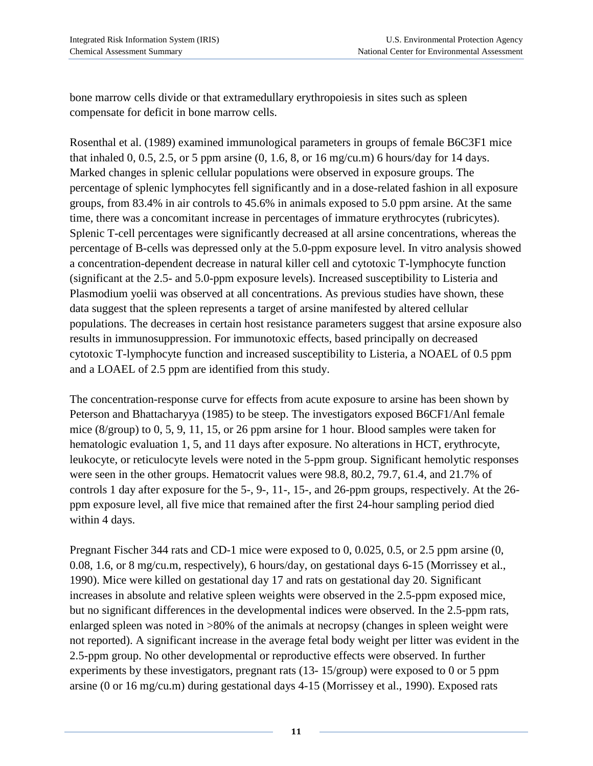bone marrow cells divide or that extramedullary erythropoiesis in sites such as spleen compensate for deficit in bone marrow cells.

Rosenthal et al. (1989) examined immunological parameters in groups of female B6C3F1 mice that inhaled 0, 0.5, 2.5, or 5 ppm arsine  $(0, 1.6, 8, or 16$  mg/cu.m) 6 hours/day for 14 days. Marked changes in splenic cellular populations were observed in exposure groups. The percentage of splenic lymphocytes fell significantly and in a dose-related fashion in all exposure groups, from 83.4% in air controls to 45.6% in animals exposed to 5.0 ppm arsine. At the same time, there was a concomitant increase in percentages of immature erythrocytes (rubricytes). Splenic T-cell percentages were significantly decreased at all arsine concentrations, whereas the percentage of B-cells was depressed only at the 5.0-ppm exposure level. In vitro analysis showed a concentration-dependent decrease in natural killer cell and cytotoxic T-lymphocyte function (significant at the 2.5- and 5.0-ppm exposure levels). Increased susceptibility to Listeria and Plasmodium yoelii was observed at all concentrations. As previous studies have shown, these data suggest that the spleen represents a target of arsine manifested by altered cellular populations. The decreases in certain host resistance parameters suggest that arsine exposure also results in immunosuppression. For immunotoxic effects, based principally on decreased cytotoxic T-lymphocyte function and increased susceptibility to Listeria, a NOAEL of 0.5 ppm and a LOAEL of 2.5 ppm are identified from this study.

The concentration-response curve for effects from acute exposure to arsine has been shown by Peterson and Bhattacharyya (1985) to be steep. The investigators exposed B6CF1/Anl female mice (8/group) to 0, 5, 9, 11, 15, or 26 ppm arsine for 1 hour. Blood samples were taken for hematologic evaluation 1, 5, and 11 days after exposure. No alterations in HCT, erythrocyte, leukocyte, or reticulocyte levels were noted in the 5-ppm group. Significant hemolytic responses were seen in the other groups. Hematocrit values were 98.8, 80.2, 79.7, 61.4, and 21.7% of controls 1 day after exposure for the 5-, 9-, 11-, 15-, and 26-ppm groups, respectively. At the 26 ppm exposure level, all five mice that remained after the first 24-hour sampling period died within 4 days.

Pregnant Fischer 344 rats and CD-1 mice were exposed to 0, 0.025, 0.5, or 2.5 ppm arsine (0, 0.08, 1.6, or 8 mg/cu.m, respectively), 6 hours/day, on gestational days 6-15 (Morrissey et al., 1990). Mice were killed on gestational day 17 and rats on gestational day 20. Significant increases in absolute and relative spleen weights were observed in the 2.5-ppm exposed mice, but no significant differences in the developmental indices were observed. In the 2.5-ppm rats, enlarged spleen was noted in >80% of the animals at necropsy (changes in spleen weight were not reported). A significant increase in the average fetal body weight per litter was evident in the 2.5-ppm group. No other developmental or reproductive effects were observed. In further experiments by these investigators, pregnant rats (13- 15/group) were exposed to 0 or 5 ppm arsine (0 or 16 mg/cu.m) during gestational days 4-15 (Morrissey et al., 1990). Exposed rats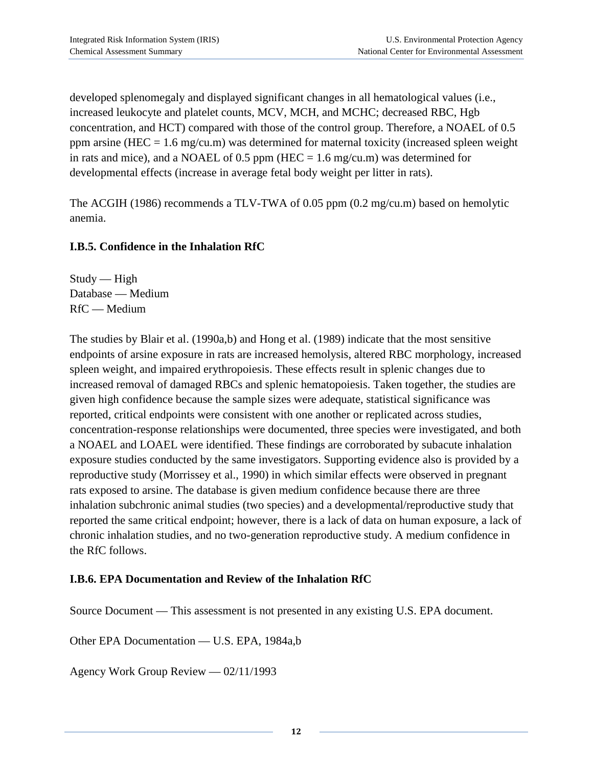developed splenomegaly and displayed significant changes in all hematological values (i.e., increased leukocyte and platelet counts, MCV, MCH, and MCHC; decreased RBC, Hgb concentration, and HCT) compared with those of the control group. Therefore, a NOAEL of 0.5 ppm arsine (HEC = 1.6 mg/cu.m) was determined for maternal toxicity (increased spleen weight in rats and mice), and a NOAEL of 0.5 ppm (HEC  $= 1.6$  mg/cu.m) was determined for developmental effects (increase in average fetal body weight per litter in rats).

The ACGIH (1986) recommends a TLV-TWA of 0.05 ppm (0.2 mg/cu.m) based on hemolytic anemia.

## **I.B.5. Confidence in the Inhalation RfC**

 $Study$ — High Database — Medium RfC — Medium

The studies by Blair et al. (1990a,b) and Hong et al. (1989) indicate that the most sensitive endpoints of arsine exposure in rats are increased hemolysis, altered RBC morphology, increased spleen weight, and impaired erythropoiesis. These effects result in splenic changes due to increased removal of damaged RBCs and splenic hematopoiesis. Taken together, the studies are given high confidence because the sample sizes were adequate, statistical significance was reported, critical endpoints were consistent with one another or replicated across studies, concentration-response relationships were documented, three species were investigated, and both a NOAEL and LOAEL were identified. These findings are corroborated by subacute inhalation exposure studies conducted by the same investigators. Supporting evidence also is provided by a reproductive study (Morrissey et al., 1990) in which similar effects were observed in pregnant rats exposed to arsine. The database is given medium confidence because there are three inhalation subchronic animal studies (two species) and a developmental/reproductive study that reported the same critical endpoint; however, there is a lack of data on human exposure, a lack of chronic inhalation studies, and no two-generation reproductive study. A medium confidence in the RfC follows.

#### **I.B.6. EPA Documentation and Review of the Inhalation RfC**

Source Document — This assessment is not presented in any existing U.S. EPA document.

Other EPA Documentation — U.S. EPA, 1984a,b

Agency Work Group Review — 02/11/1993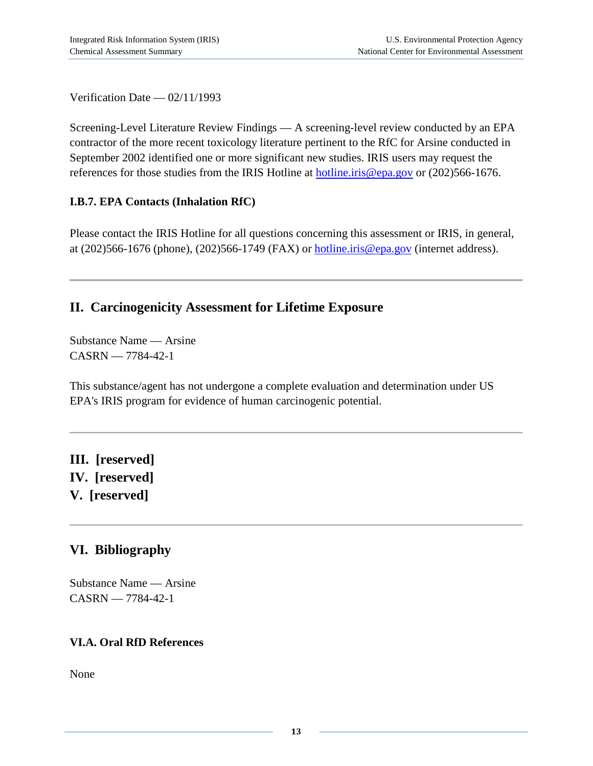Verification Date — 02/11/1993

Screening-Level Literature Review Findings — A screening-level review conducted by an EPA contractor of the more recent toxicology literature pertinent to the RfC for Arsine conducted in September 2002 identified one or more significant new studies. IRIS users may request the references for those studies from the IRIS Hotline at **hotline.iris@epa.gov** or (202)566-1676.

## **I.B.7. EPA Contacts (Inhalation RfC)**

Please contact the IRIS Hotline for all questions concerning this assessment or IRIS, in general, at  $(202)566-1676$  (phone),  $(202)566-1749$  (FAX) or [hotline.iris@epa.gov](mailto:hotline.iris@epa.gov) (internet address).

# **II. Carcinogenicity Assessment for Lifetime Exposure**

Substance Name — Arsine CASRN — 7784-42-1

This substance/agent has not undergone a complete evaluation and determination under US EPA's IRIS program for evidence of human carcinogenic potential.

**III. [reserved] IV. [reserved] V. [reserved]**

# **VI. Bibliography**

Substance Name — Arsine CASRN — 7784-42-1

# **VI.A. Oral RfD References**

None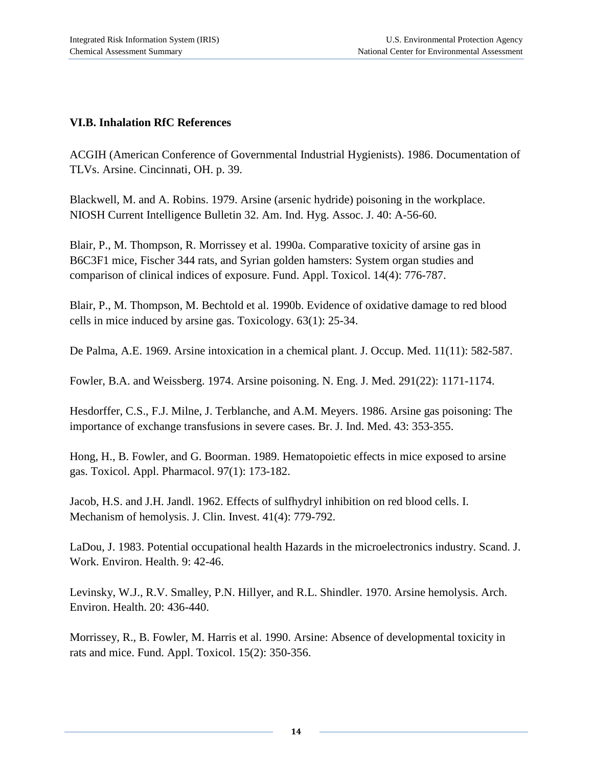### **VI.B. Inhalation RfC References**

ACGIH (American Conference of Governmental Industrial Hygienists). 1986. Documentation of TLVs. Arsine. Cincinnati, OH. p. 39.

Blackwell, M. and A. Robins. 1979. Arsine (arsenic hydride) poisoning in the workplace. NIOSH Current Intelligence Bulletin 32. Am. Ind. Hyg. Assoc. J. 40: A-56-60.

Blair, P., M. Thompson, R. Morrissey et al. 1990a. Comparative toxicity of arsine gas in B6C3F1 mice, Fischer 344 rats, and Syrian golden hamsters: System organ studies and comparison of clinical indices of exposure. Fund. Appl. Toxicol. 14(4): 776-787.

Blair, P., M. Thompson, M. Bechtold et al. 1990b. Evidence of oxidative damage to red blood cells in mice induced by arsine gas. Toxicology. 63(1): 25-34.

De Palma, A.E. 1969. Arsine intoxication in a chemical plant. J. Occup. Med. 11(11): 582-587.

Fowler, B.A. and Weissberg. 1974. Arsine poisoning. N. Eng. J. Med. 291(22): 1171-1174.

Hesdorffer, C.S., F.J. Milne, J. Terblanche, and A.M. Meyers. 1986. Arsine gas poisoning: The importance of exchange transfusions in severe cases. Br. J. Ind. Med. 43: 353-355.

Hong, H., B. Fowler, and G. Boorman. 1989. Hematopoietic effects in mice exposed to arsine gas. Toxicol. Appl. Pharmacol. 97(1): 173-182.

Jacob, H.S. and J.H. Jandl. 1962. Effects of sulfhydryl inhibition on red blood cells. I. Mechanism of hemolysis. J. Clin. Invest. 41(4): 779-792.

LaDou, J. 1983. Potential occupational health Hazards in the microelectronics industry. Scand. J. Work. Environ. Health. 9: 42-46.

Levinsky, W.J., R.V. Smalley, P.N. Hillyer, and R.L. Shindler. 1970. Arsine hemolysis. Arch. Environ. Health. 20: 436-440.

Morrissey, R., B. Fowler, M. Harris et al. 1990. Arsine: Absence of developmental toxicity in rats and mice. Fund. Appl. Toxicol. 15(2): 350-356.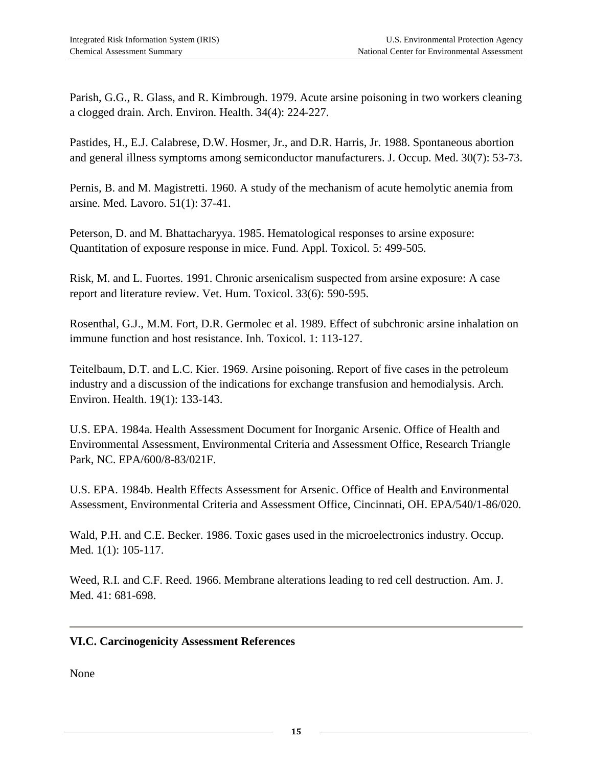Parish, G.G., R. Glass, and R. Kimbrough. 1979. Acute arsine poisoning in two workers cleaning a clogged drain. Arch. Environ. Health. 34(4): 224-227.

Pastides, H., E.J. Calabrese, D.W. Hosmer, Jr., and D.R. Harris, Jr. 1988. Spontaneous abortion and general illness symptoms among semiconductor manufacturers. J. Occup. Med. 30(7): 53-73.

Pernis, B. and M. Magistretti. 1960. A study of the mechanism of acute hemolytic anemia from arsine. Med. Lavoro. 51(1): 37-41.

Peterson, D. and M. Bhattacharyya. 1985. Hematological responses to arsine exposure: Quantitation of exposure response in mice. Fund. Appl. Toxicol. 5: 499-505.

Risk, M. and L. Fuortes. 1991. Chronic arsenicalism suspected from arsine exposure: A case report and literature review. Vet. Hum. Toxicol. 33(6): 590-595.

Rosenthal, G.J., M.M. Fort, D.R. Germolec et al. 1989. Effect of subchronic arsine inhalation on immune function and host resistance. Inh. Toxicol. 1: 113-127.

Teitelbaum, D.T. and L.C. Kier. 1969. Arsine poisoning. Report of five cases in the petroleum industry and a discussion of the indications for exchange transfusion and hemodialysis. Arch. Environ. Health. 19(1): 133-143.

U.S. EPA. 1984a. Health Assessment Document for Inorganic Arsenic. Office of Health and Environmental Assessment, Environmental Criteria and Assessment Office, Research Triangle Park, NC. EPA/600/8-83/021F.

U.S. EPA. 1984b. Health Effects Assessment for Arsenic. Office of Health and Environmental Assessment, Environmental Criteria and Assessment Office, Cincinnati, OH. EPA/540/1-86/020.

Wald, P.H. and C.E. Becker. 1986. Toxic gases used in the microelectronics industry. Occup. Med. 1(1): 105-117.

Weed, R.I. and C.F. Reed. 1966. Membrane alterations leading to red cell destruction. Am. J. Med. 41: 681-698.

#### **VI.C. Carcinogenicity Assessment References**

None